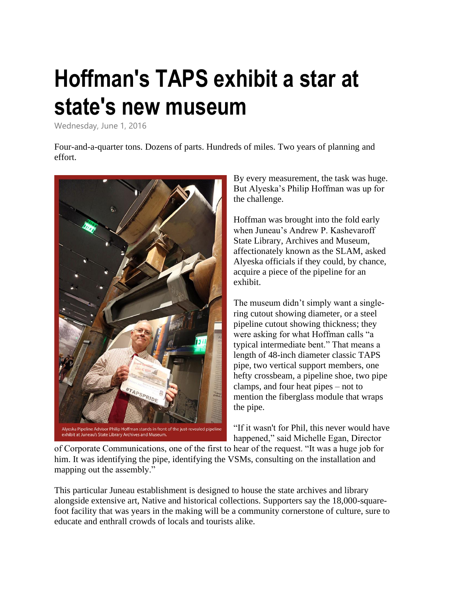## **[Hoffman's TAPS exhibit a star at](https://anet.sp.alyeska-pipeline.com/News/Lists/Posts/Post.aspx?ID=641)  [state's new m](https://anet.sp.alyeska-pipeline.com/News/Lists/Posts/Post.aspx?ID=641)useum**

Wednesday, June 1, 2016

Four-and-a-quarter tons. Dozens of parts. Hundreds of miles. Two years of planning and effort.



By every measurement, the task was huge. But Alyeska's Philip Hoffman was up for the challenge.

Hoffman was brought into the fold early when Juneau's Andrew P. Kashevaroff State Library, Archives and Museum, affectionately known as the SLAM, asked Alyeska officials if they could, by chance, acquire a piece of the pipeline for an exhibit.

The museum didn't simply want a singlering cutout showing diameter, or a steel pipeline cutout showing thickness; they were asking for what Hoffman calls "a typical intermediate bent." That means a length of 48-inch diameter classic TAPS pipe, two vertical support members, one hefty crossbeam, a pipeline shoe, two pipe clamps, and four heat pipes – not to mention the fiberglass module that wraps the pipe.

"If it wasn't for Phil, this never would have happened," said Michelle Egan, Director

of Corporate Communications, one of the first to hear of the request. "It was a huge job for him. It was identifying the pipe, identifying the VSMs, consulting on the installation and mapping out the assembly."

This particular Juneau establishment is designed to house the state archives and library alongside extensive art, Native and historical collections. Supporters say the 18,000-squarefoot facility that was years in the making will be a community cornerstone of culture, sure to educate and enthrall crowds of locals and tourists alike.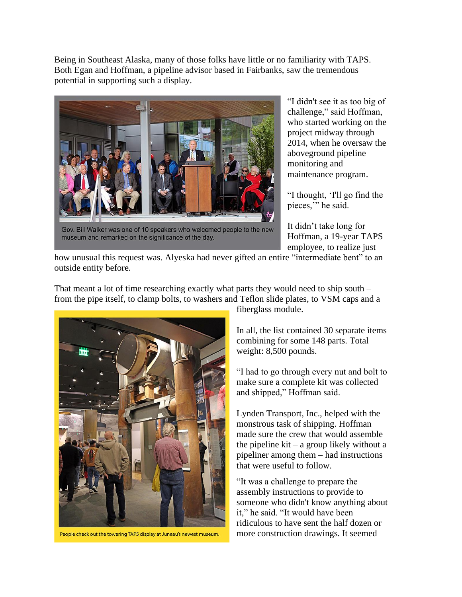Being in Southeast Alaska, many of those folks have little or no familiarity with TAPS. Both Egan and Hoffman, a pipeline advisor based in Fairbanks, saw the tremendous potential in supporting such a display.



Gov. Bill Walker was one of 10 speakers who welcomed people to the new museum and remarked on the significance of the day.

"I didn't see it as too big of challenge," said Hoffman, who started working on the project midway through 2014, when he oversaw the aboveground pipeline monitoring and maintenance program.

"I thought, 'I'll go find the pieces," he said.

It didn't take long for Hoffman, a 19-year TAPS employee, to realize just

how unusual this request was. Alyeska had never gifted an entire "intermediate bent" to an outside entity before.

That meant a lot of time researching exactly what parts they would need to ship south – from the pipe itself, to clamp bolts, to washers and Teflon slide plates, to VSM caps and a



People check out the towering TAPS display at Juneau's newest museum.

fiberglass module.

In all, the list contained 30 separate items combining for some 148 parts. Total weight: 8,500 pounds.

"I had to go through every nut and bolt to make sure a complete kit was collected and shipped," Hoffman said.

Lynden Transport, Inc., helped with the monstrous task of shipping. Hoffman made sure the crew that would assemble the pipeline  $kit - a$  group likely without a pipeliner among them – had instructions that were useful to follow.

"It was a challenge to prepare the assembly instructions to provide to someone who didn't know anything about it," he said. "It would have been ridiculous to have sent the half dozen or more construction drawings. It seemed